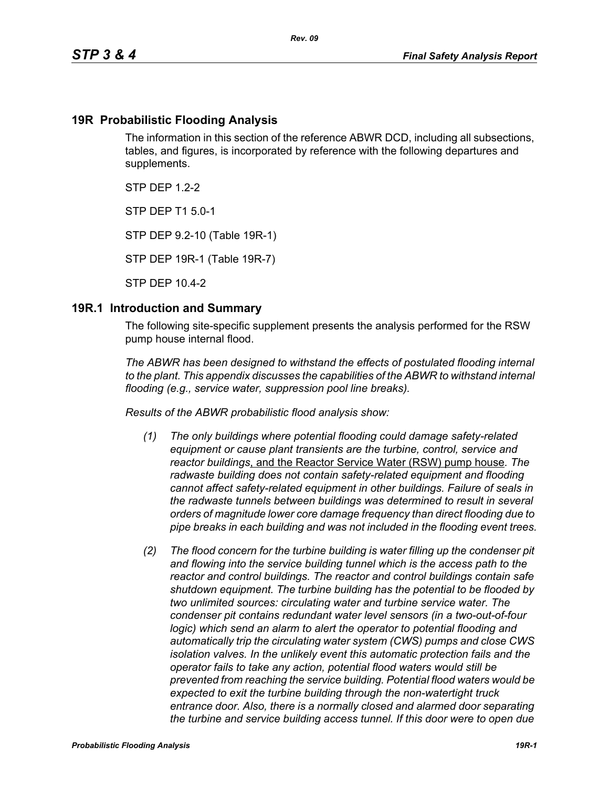### **19R Probabilistic Flooding Analysis**

The information in this section of the reference ABWR DCD, including all subsections, tables, and figures, is incorporated by reference with the following departures and supplements.

 $STP$  DFP 12-2

STP DEP T1 5.0-1

STP DEP 9.2-10 (Table 19R-1)

STP DEP 19R-1 (Table 19R-7)

STP DEP 10.4-2

#### **19R.1 Introduction and Summary**

The following site-specific supplement presents the analysis performed for the RSW pump house internal flood.

*The ABWR has been designed to withstand the effects of postulated flooding internal to the plant. This appendix discusses the capabilities of the ABWR to withstand internal flooding (e.g., service water, suppression pool line breaks).*

*Results of the ABWR probabilistic flood analysis show:*

- *(1) The only buildings where potential flooding could damage safety-related equipment or cause plant transients are the turbine, control, service and reactor buildings*, and the Reactor Service Water (RSW) pump house*. The radwaste building does not contain safety-related equipment and flooding cannot affect safety-related equipment in other buildings. Failure of seals in the radwaste tunnels between buildings was determined to result in several orders of magnitude lower core damage frequency than direct flooding due to pipe breaks in each building and was not included in the flooding event trees.*
- *(2) The flood concern for the turbine building is water filling up the condenser pit and flowing into the service building tunnel which is the access path to the reactor and control buildings. The reactor and control buildings contain safe shutdown equipment. The turbine building has the potential to be flooded by two unlimited sources: circulating water and turbine service water. The condenser pit contains redundant water level sensors (in a two-out-of-four logic)* which send an alarm to alert the operator to potential flooding and *automatically trip the circulating water system (CWS) pumps and close CWS isolation valves. In the unlikely event this automatic protection fails and the operator fails to take any action, potential flood waters would still be prevented from reaching the service building. Potential flood waters would be expected to exit the turbine building through the non-watertight truck entrance door. Also, there is a normally closed and alarmed door separating the turbine and service building access tunnel. If this door were to open due*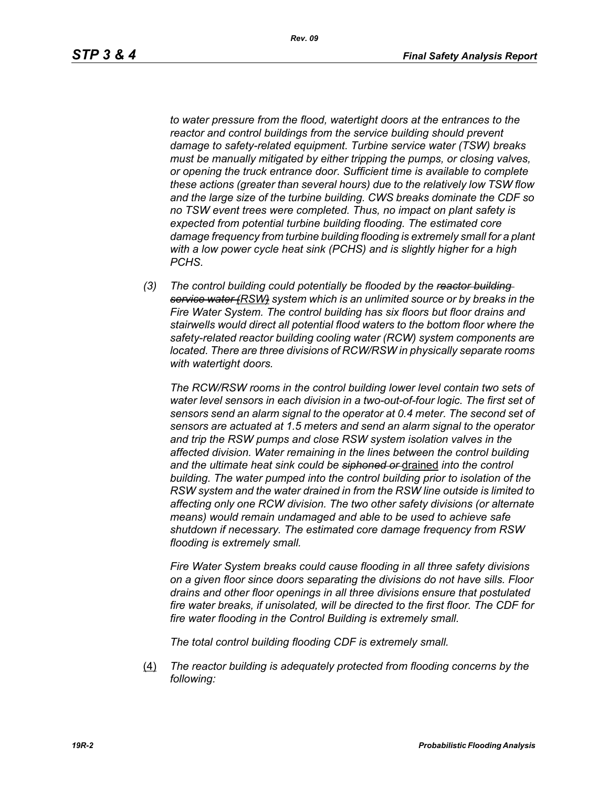*to water pressure from the flood, watertight doors at the entrances to the reactor and control buildings from the service building should prevent damage to safety-related equipment. Turbine service water (TSW) breaks must be manually mitigated by either tripping the pumps, or closing valves, or opening the truck entrance door. Sufficient time is available to complete these actions (greater than several hours) due to the relatively low TSW flow and the large size of the turbine building. CWS breaks dominate the CDF so no TSW event trees were completed. Thus, no impact on plant safety is expected from potential turbine building flooding. The estimated core damage frequency from turbine building flooding is extremely small for a plant with a low power cycle heat sink (PCHS) and is slightly higher for a high PCHS.*

*(3) The control building could potentially be flooded by the reactor building service water (RSW) system which is an unlimited source or by breaks in the Fire Water System. The control building has six floors but floor drains and stairwells would direct all potential flood waters to the bottom floor where the safety-related reactor building cooling water (RCW) system components are located. There are three divisions of RCW/RSW in physically separate rooms with watertight doors.*

*The RCW/RSW rooms in the control building lower level contain two sets of water level sensors in each division in a two-out-of-four logic. The first set of sensors send an alarm signal to the operator at 0.4 meter. The second set of sensors are actuated at 1.5 meters and send an alarm signal to the operator and trip the RSW pumps and close RSW system isolation valves in the affected division. Water remaining in the lines between the control building and the ultimate heat sink could be siphoned or* drained *into the control building. The water pumped into the control building prior to isolation of the RSW system and the water drained in from the RSW line outside is limited to affecting only one RCW division. The two other safety divisions (or alternate means) would remain undamaged and able to be used to achieve safe shutdown if necessary. The estimated core damage frequency from RSW flooding is extremely small.*

*Fire Water System breaks could cause flooding in all three safety divisions on a given floor since doors separating the divisions do not have sills. Floor drains and other floor openings in all three divisions ensure that postulated fire water breaks, if unisolated, will be directed to the first floor. The CDF for fire water flooding in the Control Building is extremely small.*

*The total control building flooding CDF is extremely small.*

(4) *The reactor building is adequately protected from flooding concerns by the following:*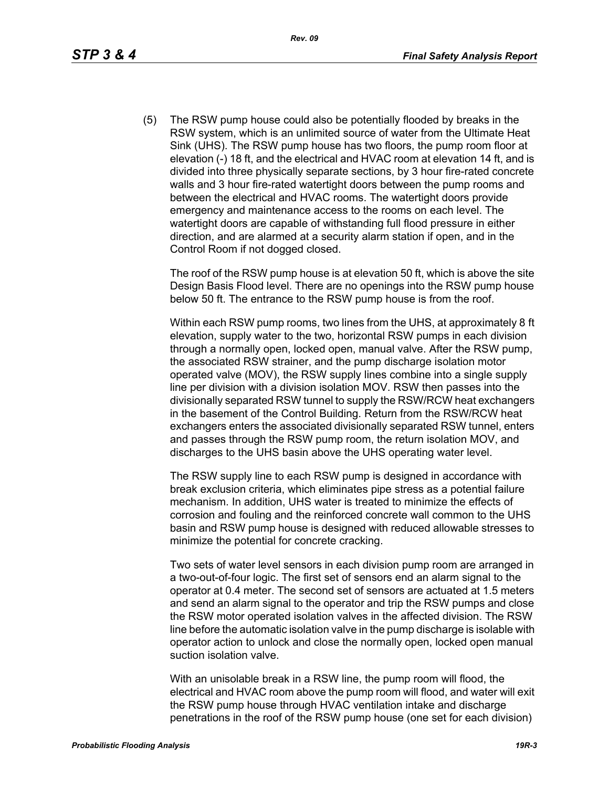(5) The RSW pump house could also be potentially flooded by breaks in the RSW system, which is an unlimited source of water from the Ultimate Heat Sink (UHS). The RSW pump house has two floors, the pump room floor at elevation (-) 18 ft, and the electrical and HVAC room at elevation 14 ft, and is divided into three physically separate sections, by 3 hour fire-rated concrete walls and 3 hour fire-rated watertight doors between the pump rooms and between the electrical and HVAC rooms. The watertight doors provide emergency and maintenance access to the rooms on each level. The watertight doors are capable of withstanding full flood pressure in either direction, and are alarmed at a security alarm station if open, and in the Control Room if not dogged closed.

The roof of the RSW pump house is at elevation 50 ft, which is above the site Design Basis Flood level. There are no openings into the RSW pump house below 50 ft. The entrance to the RSW pump house is from the roof.

Within each RSW pump rooms, two lines from the UHS, at approximately 8 ft elevation, supply water to the two, horizontal RSW pumps in each division through a normally open, locked open, manual valve. After the RSW pump, the associated RSW strainer, and the pump discharge isolation motor operated valve (MOV), the RSW supply lines combine into a single supply line per division with a division isolation MOV. RSW then passes into the divisionally separated RSW tunnel to supply the RSW/RCW heat exchangers in the basement of the Control Building. Return from the RSW/RCW heat exchangers enters the associated divisionally separated RSW tunnel, enters and passes through the RSW pump room, the return isolation MOV, and discharges to the UHS basin above the UHS operating water level.

The RSW supply line to each RSW pump is designed in accordance with break exclusion criteria, which eliminates pipe stress as a potential failure mechanism. In addition, UHS water is treated to minimize the effects of corrosion and fouling and the reinforced concrete wall common to the UHS basin and RSW pump house is designed with reduced allowable stresses to minimize the potential for concrete cracking.

Two sets of water level sensors in each division pump room are arranged in a two-out-of-four logic. The first set of sensors end an alarm signal to the operator at 0.4 meter. The second set of sensors are actuated at 1.5 meters and send an alarm signal to the operator and trip the RSW pumps and close the RSW motor operated isolation valves in the affected division. The RSW line before the automatic isolation valve in the pump discharge is isolable with operator action to unlock and close the normally open, locked open manual suction isolation valve.

With an unisolable break in a RSW line, the pump room will flood, the electrical and HVAC room above the pump room will flood, and water will exit the RSW pump house through HVAC ventilation intake and discharge penetrations in the roof of the RSW pump house (one set for each division)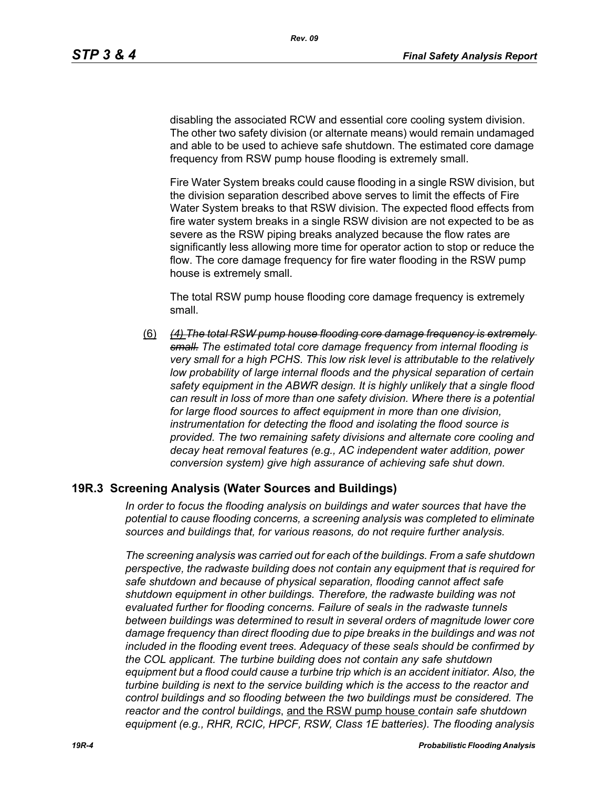disabling the associated RCW and essential core cooling system division. The other two safety division (or alternate means) would remain undamaged and able to be used to achieve safe shutdown. The estimated core damage frequency from RSW pump house flooding is extremely small.

Fire Water System breaks could cause flooding in a single RSW division, but the division separation described above serves to limit the effects of Fire Water System breaks to that RSW division. The expected flood effects from fire water system breaks in a single RSW division are not expected to be as severe as the RSW piping breaks analyzed because the flow rates are significantly less allowing more time for operator action to stop or reduce the flow. The core damage frequency for fire water flooding in the RSW pump house is extremely small.

The total RSW pump house flooding core damage frequency is extremely small.

(6) *(4) The total RSW pump house flooding core damage frequency is extremely small. The estimated total core damage frequency from internal flooding is very small for a high PCHS. This low risk level is attributable to the relatively*  low probability of large internal floods and the physical separation of certain *safety equipment in the ABWR design. It is highly unlikely that a single flood can result in loss of more than one safety division. Where there is a potential for large flood sources to affect equipment in more than one division, instrumentation for detecting the flood and isolating the flood source is provided. The two remaining safety divisions and alternate core cooling and decay heat removal features (e.g., AC independent water addition, power conversion system) give high assurance of achieving safe shut down.*

### **19R.3 Screening Analysis (Water Sources and Buildings)**

*In order to focus the flooding analysis on buildings and water sources that have the potential to cause flooding concerns, a screening analysis was completed to eliminate sources and buildings that, for various reasons, do not require further analysis.*

*The screening analysis was carried out for each of the buildings. From a safe shutdown perspective, the radwaste building does not contain any equipment that is required for safe shutdown and because of physical separation, flooding cannot affect safe shutdown equipment in other buildings. Therefore, the radwaste building was not evaluated further for flooding concerns. Failure of seals in the radwaste tunnels between buildings was determined to result in several orders of magnitude lower core damage frequency than direct flooding due to pipe breaks in the buildings and was not included in the flooding event trees. Adequacy of these seals should be confirmed by the COL applicant. The turbine building does not contain any safe shutdown equipment but a flood could cause a turbine trip which is an accident initiator. Also, the turbine building is next to the service building which is the access to the reactor and control buildings and so flooding between the two buildings must be considered. The reactor and the control buildings*, and the RSW pump house *contain safe shutdown equipment (e.g., RHR, RCIC, HPCF, RSW, Class 1E batteries). The flooding analysis*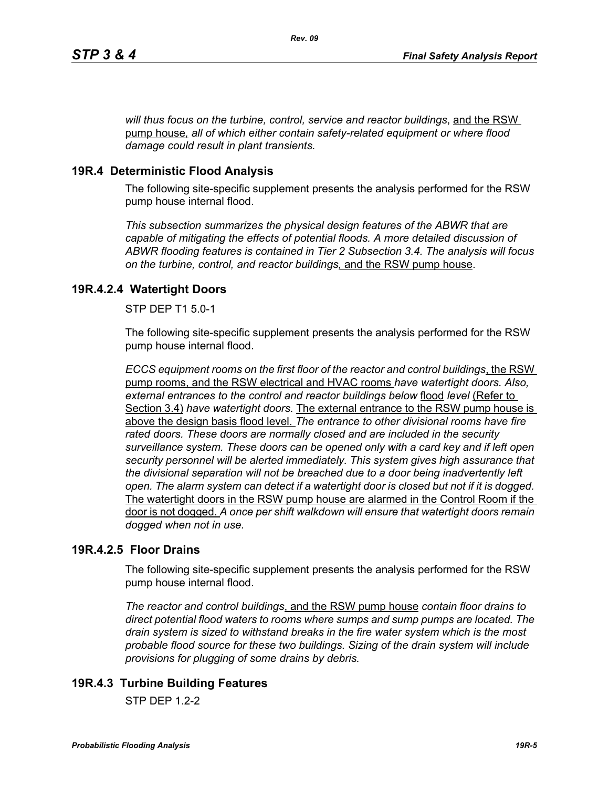*will thus focus on the turbine, control, service and reactor buildings*, and the RSW pump house*, all of which either contain safety-related equipment or where flood damage could result in plant transients.*

# **19R.4 Deterministic Flood Analysis**

The following site-specific supplement presents the analysis performed for the RSW pump house internal flood.

*This subsection summarizes the physical design features of the ABWR that are capable of mitigating the effects of potential floods. A more detailed discussion of ABWR flooding features is contained in Tier 2 Subsection 3.4. The analysis will focus on the turbine, control, and reactor buildings,* and the RSW pump house.

# **19R.4.2.4 Watertight Doors**

STP DEP T1 5.0-1

The following site-specific supplement presents the analysis performed for the RSW pump house internal flood.

*ECCS equipment rooms on the first floor of the reactor and control buildings*, the RSW pump rooms, and the RSW electrical and HVAC rooms *have watertight doors. Also, external entrances to the control and reactor buildings below* flood *level* (Refer to Section 3.4) *have watertight doors.* The external entrance to the RSW pump house is above the design basis flood level. *The entrance to other divisional rooms have fire rated doors. These doors are normally closed and are included in the security surveillance system. These doors can be opened only with a card key and if left open security personnel will be alerted immediately. This system gives high assurance that the divisional separation will not be breached due to a door being inadvertently left open. The alarm system can detect if a watertight door is closed but not if it is dogged.*  The watertight doors in the RSW pump house are alarmed in the Control Room if the door is not dogged. *A once per shift walkdown will ensure that watertight doors remain dogged when not in use.*

## **19R.4.2.5 Floor Drains**

The following site-specific supplement presents the analysis performed for the RSW pump house internal flood.

*The reactor and control buildings*, and the RSW pump house *contain floor drains to direct potential flood waters to rooms where sumps and sump pumps are located. The drain system is sized to withstand breaks in the fire water system which is the most probable flood source for these two buildings. Sizing of the drain system will include provisions for plugging of some drains by debris.*

# **19R.4.3 Turbine Building Features**

 $STP$  DFP 12-2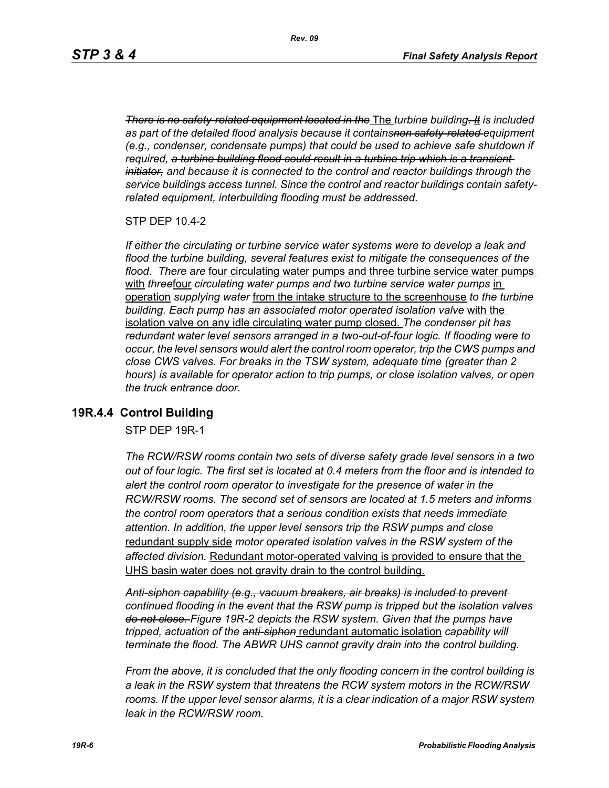*There is no safety-related equipment located in the* The *turbine building. It is included as part of the detailed flood analysis because it containsnon safety-related equipment (e.g., condenser, condensate pumps) that could be used to achieve safe shutdown if required, a turbine building flood could result in a turbine trip which is a transient initiator, and because it is connected to the control and reactor buildings through the service buildings access tunnel. Since the control and reactor buildings contain safetyrelated equipment, interbuilding flooding must be addressed.*

STP DEP 10.4-2

*If either the circulating or turbine service water systems were to develop a leak and flood the turbine building, several features exist to mitigate the consequences of the flood. There are* four circulating water pumps and three turbine service water pumps with **threefour** circulating water pumps and two turbine service water pumps in operation *supplying water* from the intake structure to the screenhouse *to the turbine building. Each pump has an associated motor operated isolation valve* with the isolation valve on any idle circulating water pump closed. *The condenser pit has redundant water level sensors arranged in a two-out-of-four logic. If flooding were to occur, the level sensors would alert the control room operator, trip the CWS pumps and close CWS valves. For breaks in the TSW system, adequate time (greater than 2 hours) is available for operator action to trip pumps, or close isolation valves, or open the truck entrance door.*

### **19R.4.4 Control Building**

STP DEP 19R-1

*The RCW/RSW rooms contain two sets of diverse safety grade level sensors in a two out of four logic. The first set is located at 0.4 meters from the floor and is intended to alert the control room operator to investigate for the presence of water in the RCW/RSW rooms. The second set of sensors are located at 1.5 meters and informs the control room operators that a serious condition exists that needs immediate attention. In addition, the upper level sensors trip the RSW pumps and close*  redundant supply side *motor operated isolation valves in the RSW system of the affected division.* Redundant motor-operated valving is provided to ensure that the UHS basin water does not gravity drain to the control building.

*Anti-siphon capability (e.g., vacuum breakers, air breaks) is included to prevent continued flooding in the event that the RSW pump is tripped but the isolation valves do not close. Figure 19R-2 depicts the RSW system. Given that the pumps have tripped, actuation of the anti-siphon* redundant automatic isolation *capability will terminate the flood. The ABWR UHS cannot gravity drain into the control building.*

*From the above, it is concluded that the only flooding concern in the control building is a leak in the RSW system that threatens the RCW system motors in the RCW/RSW*  rooms. If the upper level sensor alarms, it is a clear indication of a major RSW system *leak in the RCW/RSW room.*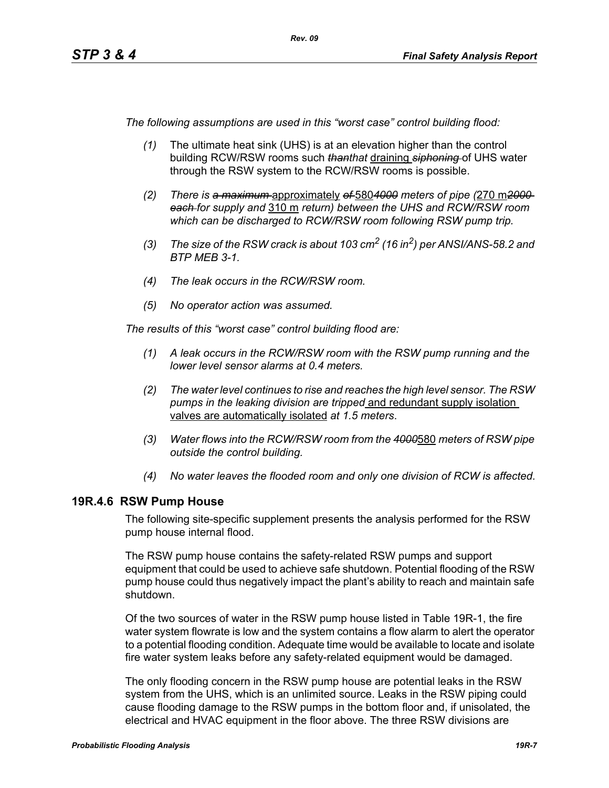*The following assumptions are used in this "worst case" control building flood:*

- *(1)* The ultimate heat sink (UHS) is at an elevation higher than the control building RCW/RSW rooms such *thanthat* draining *siphoning* of UHS water through the RSW system to the RCW/RSW rooms is possible.
- *(2) There is a maximum* approximately *of* 580*4000 meters of pipe (*270 m*2000 each for supply and* 310 m *return) between the UHS and RCW/RSW room which can be discharged to RCW/RSW room following RSW pump trip.*
- *(3) The size of the RSW crack is about 103 cm2 (16 in2) per ANSI/ANS-58.2 and BTP MEB 3-1.*
- *(4) The leak occurs in the RCW/RSW room.*
- *(5) No operator action was assumed.*

*The results of this "worst case" control building flood are:*

- *(1) A leak occurs in the RCW/RSW room with the RSW pump running and the lower level sensor alarms at 0.4 meters.*
- *(2) The water level continues to rise and reaches the high level sensor. The RSW pumps in the leaking division are tripped* and redundant supply isolation valves are automatically isolated *at 1.5 meters*.
- *(3) Water flows into the RCW/RSW room from the 4000*580 *meters of RSW pipe outside the control building.*
- *(4) No water leaves the flooded room and only one division of RCW is affected.*

### **19R.4.6 RSW Pump House**

The following site-specific supplement presents the analysis performed for the RSW pump house internal flood.

The RSW pump house contains the safety-related RSW pumps and support equipment that could be used to achieve safe shutdown. Potential flooding of the RSW pump house could thus negatively impact the plant's ability to reach and maintain safe shutdown.

Of the two sources of water in the RSW pump house listed in Table 19R-1, the fire water system flowrate is low and the system contains a flow alarm to alert the operator to a potential flooding condition. Adequate time would be available to locate and isolate fire water system leaks before any safety-related equipment would be damaged.

The only flooding concern in the RSW pump house are potential leaks in the RSW system from the UHS, which is an unlimited source. Leaks in the RSW piping could cause flooding damage to the RSW pumps in the bottom floor and, if unisolated, the electrical and HVAC equipment in the floor above. The three RSW divisions are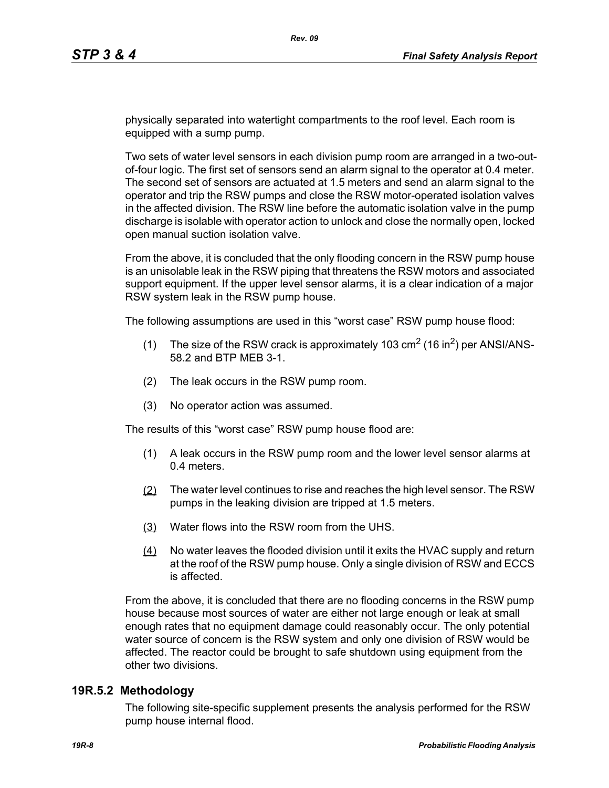physically separated into watertight compartments to the roof level. Each room is equipped with a sump pump.

Two sets of water level sensors in each division pump room are arranged in a two-outof-four logic. The first set of sensors send an alarm signal to the operator at 0.4 meter. The second set of sensors are actuated at 1.5 meters and send an alarm signal to the operator and trip the RSW pumps and close the RSW motor-operated isolation valves in the affected division. The RSW line before the automatic isolation valve in the pump discharge is isolable with operator action to unlock and close the normally open, locked open manual suction isolation valve.

From the above, it is concluded that the only flooding concern in the RSW pump house is an unisolable leak in the RSW piping that threatens the RSW motors and associated support equipment. If the upper level sensor alarms, it is a clear indication of a major RSW system leak in the RSW pump house.

The following assumptions are used in this "worst case" RSW pump house flood:

- (1) The size of the RSW crack is approximately 103  $\text{cm}^2$  (16 in<sup>2</sup>) per ANSI/ANS-58.2 and BTP MEB 3-1.
- (2) The leak occurs in the RSW pump room.
- (3) No operator action was assumed.

The results of this "worst case" RSW pump house flood are:

- (1) A leak occurs in the RSW pump room and the lower level sensor alarms at 0.4 meters.
- (2) The water level continues to rise and reaches the high level sensor. The RSW pumps in the leaking division are tripped at 1.5 meters.
- (3) Water flows into the RSW room from the UHS.
- (4) No water leaves the flooded division until it exits the HVAC supply and return at the roof of the RSW pump house. Only a single division of RSW and ECCS is affected.

From the above, it is concluded that there are no flooding concerns in the RSW pump house because most sources of water are either not large enough or leak at small enough rates that no equipment damage could reasonably occur. The only potential water source of concern is the RSW system and only one division of RSW would be affected. The reactor could be brought to safe shutdown using equipment from the other two divisions.

#### **19R.5.2 Methodology**

The following site-specific supplement presents the analysis performed for the RSW pump house internal flood.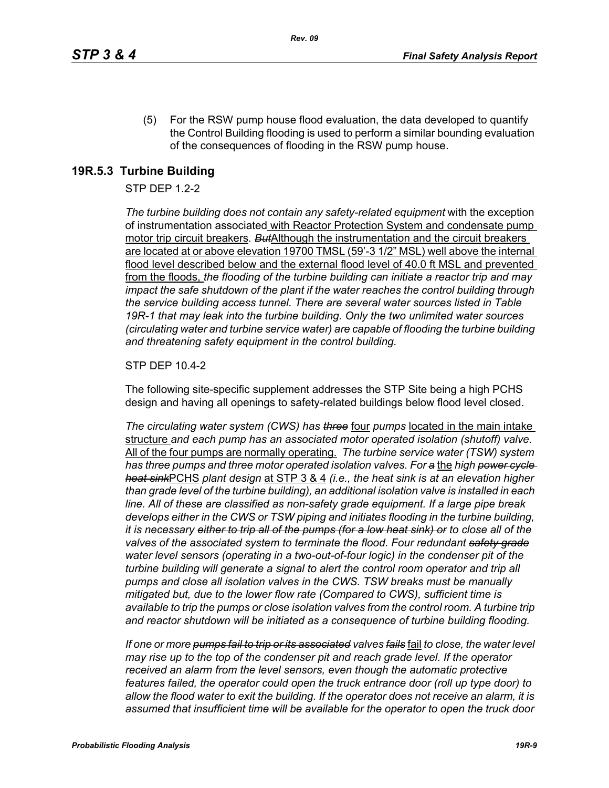(5) For the RSW pump house flood evaluation, the data developed to quantify the Control Building flooding is used to perform a similar bounding evaluation of the consequences of flooding in the RSW pump house.

## **19R.5.3 Turbine Building**

### STP DEP 1.2-2

*The turbine building does not contain any safety-related equipment* with the exception of instrumentation associated with Reactor Protection System and condensate pump motor trip circuit breakers*. But*Although the instrumentation and the circuit breakers are located at or above elevation 19700 TMSL (59'-3 1/2" MSL) well above the internal flood level described below and the external flood level of 40.0 ft MSL and prevented from the floods, *the flooding of the turbine building can initiate a reactor trip and may impact the safe shutdown of the plant if the water reaches the control building through the service building access tunnel. There are several water sources listed in Table 19R-1 that may leak into the turbine building. Only the two unlimited water sources (circulating water and turbine service water) are capable of flooding the turbine building and threatening safety equipment in the control building.*

#### STP DEP 10.4-2

The following site-specific supplement addresses the STP Site being a high PCHS design and having all openings to safety-related buildings below flood level closed.

*The circulating water system (CWS) has three* four *pumps* located in the main intake structure *and each pump has an associated motor operated isolation (shutoff) valve.*  All of the four pumps are normally operating. *The turbine service water (TSW) system has three pumps and three motor operated isolation valves. For a* the *high power cycle heat sink*PCHS *plant design* at STP 3 & 4 *(i.e., the heat sink is at an elevation higher than grade level of the turbine building), an additional isolation valve is installed in each line. All of these are classified as non-safety grade equipment. If a large pipe break develops either in the CWS or TSW piping and initiates flooding in the turbine building, it is necessary either to trip all of the pumps (for a low heat sink) or to close all of the valves of the associated system to terminate the flood. Four redundant safety grade water level sensors (operating in a two-out-of-four logic) in the condenser pit of the turbine building will generate a signal to alert the control room operator and trip all pumps and close all isolation valves in the CWS. TSW breaks must be manually mitigated but, due to the lower flow rate (Compared to CWS), sufficient time is available to trip the pumps or close isolation valves from the control room. A turbine trip and reactor shutdown will be initiated as a consequence of turbine building flooding.*

*If one or more pumps fail to trip or its associated valves fails* fail *to close, the water level may rise up to the top of the condenser pit and reach grade level. If the operator received an alarm from the level sensors, even though the automatic protective features failed, the operator could open the truck entrance door (roll up type door) to allow the flood water to exit the building. If the operator does not receive an alarm, it is assumed that insufficient time will be available for the operator to open the truck door*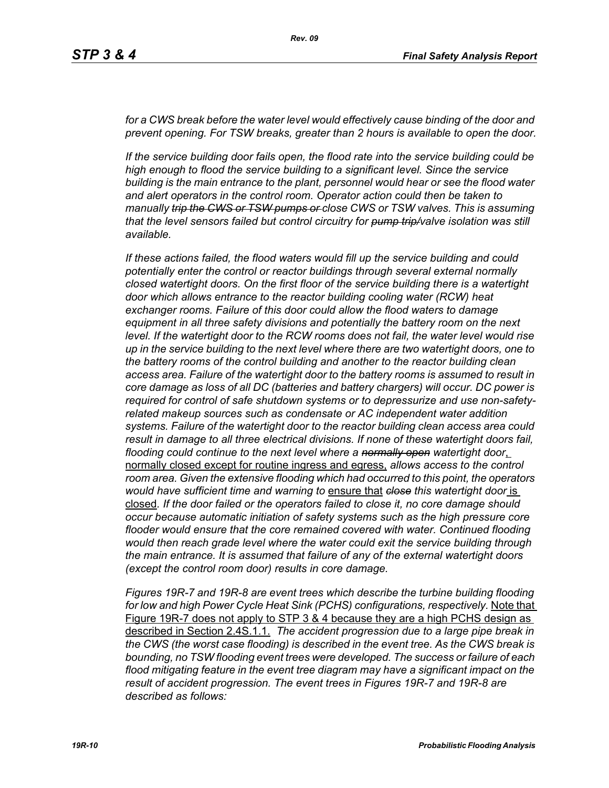for a CWS break before the water level would effectively cause binding of the door and *prevent opening. For TSW breaks, greater than 2 hours is available to open the door.*

*If the service building door fails open, the flood rate into the service building could be high enough to flood the service building to a significant level. Since the service building is the main entrance to the plant, personnel would hear or see the flood water and alert operators in the control room. Operator action could then be taken to manually trip the CWS or TSW pumps or close CWS or TSW valves. This is assuming that the level sensors failed but control circuitry for pump trip/valve isolation was still available.*

*If these actions failed, the flood waters would fill up the service building and could potentially enter the control or reactor buildings through several external normally closed watertight doors. On the first floor of the service building there is a watertight door which allows entrance to the reactor building cooling water (RCW) heat exchanger rooms. Failure of this door could allow the flood waters to damage equipment in all three safety divisions and potentially the battery room on the next level. If the watertight door to the RCW rooms does not fail, the water level would rise up in the service building to the next level where there are two watertight doors, one to the battery rooms of the control building and another to the reactor building clean access area. Failure of the watertight door to the battery rooms is assumed to result in core damage as loss of all DC (batteries and battery chargers) will occur. DC power is required for control of safe shutdown systems or to depressurize and use non-safetyrelated makeup sources such as condensate or AC independent water addition systems. Failure of the watertight door to the reactor building clean access area could result in damage to all three electrical divisions. If none of these watertight doors fail, flooding could continue to the next level where a normally open watertight door*, normally closed except for routine ingress and egress, *allows access to the control room area. Given the extensive flooding which had occurred to this point, the operators would have sufficient time and warning to* ensure that *close this watertight door* is closed*. If the door failed or the operators failed to close it, no core damage should occur because automatic initiation of safety systems such as the high pressure core flooder would ensure that the core remained covered with water. Continued flooding would then reach grade level where the water could exit the service building through the main entrance. It is assumed that failure of any of the external watertight doors (except the control room door) results in core damage.*

*Figures 19R-7 and 19R-8 are event trees which describe the turbine building flooding for low and high Power Cycle Heat Sink (PCHS) configurations, respectively.* Note that Figure 19R-7 does not apply to STP 3 & 4 because they are a high PCHS design as described in Section 2.4S.1.1. *The accident progression due to a large pipe break in the CWS (the worst case flooding) is described in the event tree. As the CWS break is bounding, no TSW flooding event trees were developed. The success or failure of each flood mitigating feature in the event tree diagram may have a significant impact on the result of accident progression. The event trees in Figures 19R-7 and 19R-8 are described as follows:*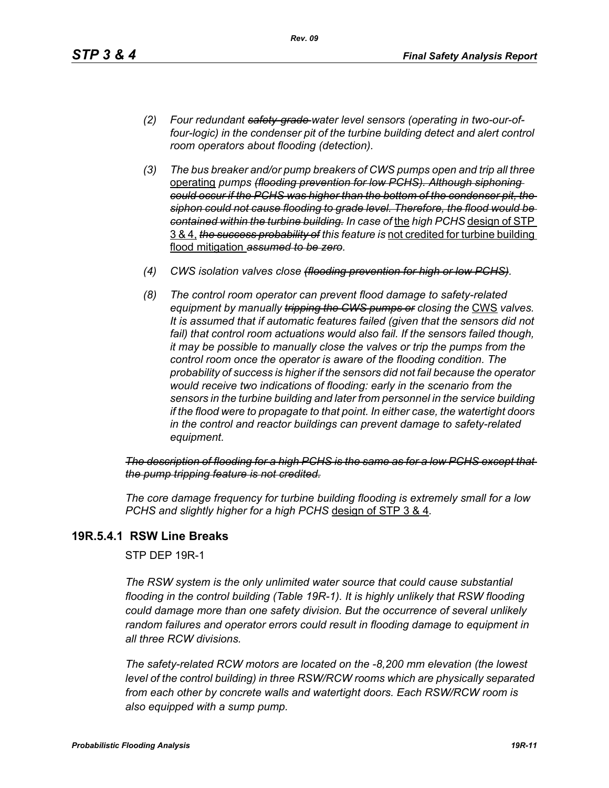- *(2) Four redundant safety-grade water level sensors (operating in two-our-offour-logic) in the condenser pit of the turbine building detect and alert control room operators about flooding (detection).*
- *(3) The bus breaker and/or pump breakers of CWS pumps open and trip all three*  operating *pumps (flooding prevention for low PCHS). Although siphoning could occur if the PCHS was higher than the bottom of the condenser pit, the siphon could not cause flooding to grade level. Therefore, the flood would be contained within the turbine building. In case of* the *high PCHS* design of STP 3 & 4, *the success probability of this feature is* not credited for turbine building flood mitigation *assumed to be zero.*
- *(4) CWS isolation valves close (flooding prevention for high or low PCHS).*
- *(8) The control room operator can prevent flood damage to safety-related equipment by manually tripping the GWS pumps or closing the CWS valves. It is assumed that if automatic features failed (given that the sensors did not*  fail) that control room actuations would also fail. If the sensors failed though, *it may be possible to manually close the valves or trip the pumps from the control room once the operator is aware of the flooding condition. The probability of success is higher if the sensors did not fail because the operator would receive two indications of flooding: early in the scenario from the sensors in the turbine building and later from personnel in the service building if the flood were to propagate to that point. In either case, the watertight doors in the control and reactor buildings can prevent damage to safety-related equipment.*

*The description of flooding for a high PCHS is the same as for a low PCHS except that the pump tripping feature is not credited.*

*The core damage frequency for turbine building flooding is extremely small for a low PCHS and slightly higher for a high PCHS* design of STP 3 & 4*.*

## **19R.5.4.1 RSW Line Breaks**

STP DEP 19R-1

*The RSW system is the only unlimited water source that could cause substantial flooding in the control building (Table 19R-1). It is highly unlikely that RSW flooding could damage more than one safety division. But the occurrence of several unlikely random failures and operator errors could result in flooding damage to equipment in all three RCW divisions.* 

*The safety-related RCW motors are located on the -8,200 mm elevation (the lowest level of the control building) in three RSW/RCW rooms which are physically separated from each other by concrete walls and watertight doors. Each RSW/RCW room is also equipped with a sump pump.*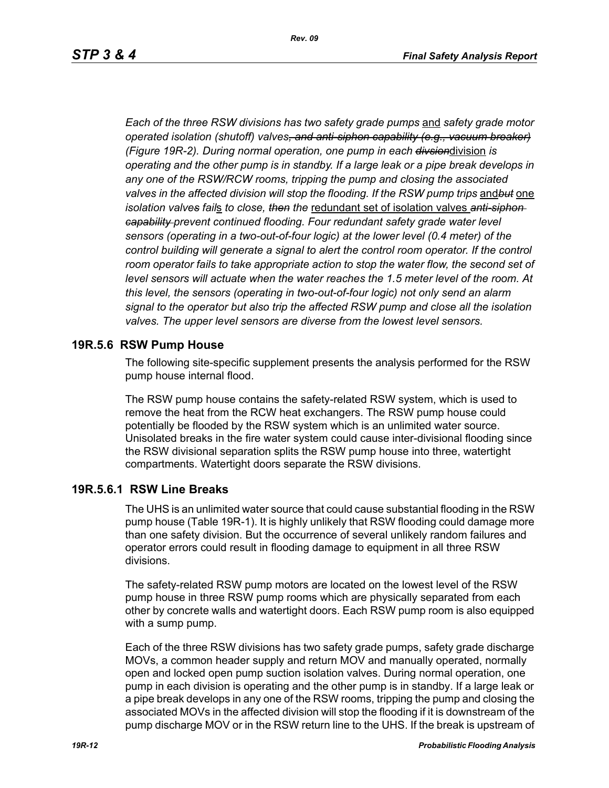*Each of the three RSW divisions has two safety grade pumps* and *safety grade motor operated isolation (shutoff) valves, and anti-siphon capability (e.g., vacuum breaker) (Figure 19R-2). During normal operation, one pump in each divsion*division *is operating and the other pump is in standby. If a large leak or a pipe break develops in any one of the RSW/RCW rooms, tripping the pump and closing the associated valves in the affected division will stop the flooding. If the RSW pump trips* and*but* one *isolation valves fail*s *to close, then the* redundant set of isolation valves *anti-siphon capability prevent continued flooding. Four redundant safety grade water level sensors (operating in a two-out-of-four logic) at the lower level (0.4 meter) of the control building will generate a signal to alert the control room operator. If the control* room operator fails to take appropriate action to stop the water flow, the second set of *level sensors will actuate when the water reaches the 1.5 meter level of the room. At this level, the sensors (operating in two-out-of-four logic) not only send an alarm signal to the operator but also trip the affected RSW pump and close all the isolation valves. The upper level sensors are diverse from the lowest level sensors.*

#### **19R.5.6 RSW Pump House**

The following site-specific supplement presents the analysis performed for the RSW pump house internal flood.

The RSW pump house contains the safety-related RSW system, which is used to remove the heat from the RCW heat exchangers. The RSW pump house could potentially be flooded by the RSW system which is an unlimited water source. Unisolated breaks in the fire water system could cause inter-divisional flooding since the RSW divisional separation splits the RSW pump house into three, watertight compartments. Watertight doors separate the RSW divisions.

#### **19R.5.6.1 RSW Line Breaks**

The UHS is an unlimited water source that could cause substantial flooding in the RSW pump house (Table 19R-1). It is highly unlikely that RSW flooding could damage more than one safety division. But the occurrence of several unlikely random failures and operator errors could result in flooding damage to equipment in all three RSW divisions.

The safety-related RSW pump motors are located on the lowest level of the RSW pump house in three RSW pump rooms which are physically separated from each other by concrete walls and watertight doors. Each RSW pump room is also equipped with a sump pump.

Each of the three RSW divisions has two safety grade pumps, safety grade discharge MOVs, a common header supply and return MOV and manually operated, normally open and locked open pump suction isolation valves. During normal operation, one pump in each division is operating and the other pump is in standby. If a large leak or a pipe break develops in any one of the RSW rooms, tripping the pump and closing the associated MOVs in the affected division will stop the flooding if it is downstream of the pump discharge MOV or in the RSW return line to the UHS. If the break is upstream of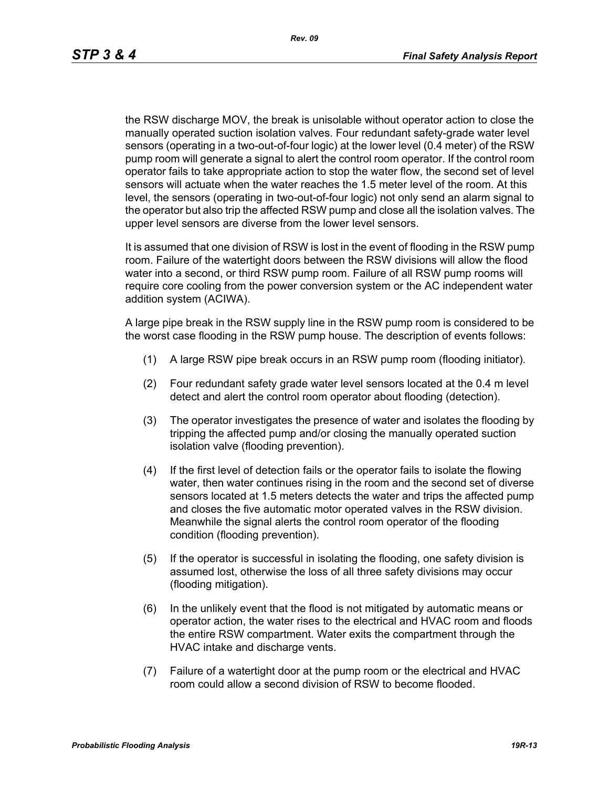the RSW discharge MOV, the break is unisolable without operator action to close the manually operated suction isolation valves. Four redundant safety-grade water level sensors (operating in a two-out-of-four logic) at the lower level (0.4 meter) of the RSW pump room will generate a signal to alert the control room operator. If the control room operator fails to take appropriate action to stop the water flow, the second set of level sensors will actuate when the water reaches the 1.5 meter level of the room. At this level, the sensors (operating in two-out-of-four logic) not only send an alarm signal to the operator but also trip the affected RSW pump and close all the isolation valves. The upper level sensors are diverse from the lower level sensors.

It is assumed that one division of RSW is lost in the event of flooding in the RSW pump room. Failure of the watertight doors between the RSW divisions will allow the flood water into a second, or third RSW pump room. Failure of all RSW pump rooms will require core cooling from the power conversion system or the AC independent water addition system (ACIWA).

A large pipe break in the RSW supply line in the RSW pump room is considered to be the worst case flooding in the RSW pump house. The description of events follows:

- (1) A large RSW pipe break occurs in an RSW pump room (flooding initiator).
- (2) Four redundant safety grade water level sensors located at the 0.4 m level detect and alert the control room operator about flooding (detection).
- (3) The operator investigates the presence of water and isolates the flooding by tripping the affected pump and/or closing the manually operated suction isolation valve (flooding prevention).
- (4) If the first level of detection fails or the operator fails to isolate the flowing water, then water continues rising in the room and the second set of diverse sensors located at 1.5 meters detects the water and trips the affected pump and closes the five automatic motor operated valves in the RSW division. Meanwhile the signal alerts the control room operator of the flooding condition (flooding prevention).
- (5) If the operator is successful in isolating the flooding, one safety division is assumed lost, otherwise the loss of all three safety divisions may occur (flooding mitigation).
- (6) In the unlikely event that the flood is not mitigated by automatic means or operator action, the water rises to the electrical and HVAC room and floods the entire RSW compartment. Water exits the compartment through the HVAC intake and discharge vents.
- (7) Failure of a watertight door at the pump room or the electrical and HVAC room could allow a second division of RSW to become flooded.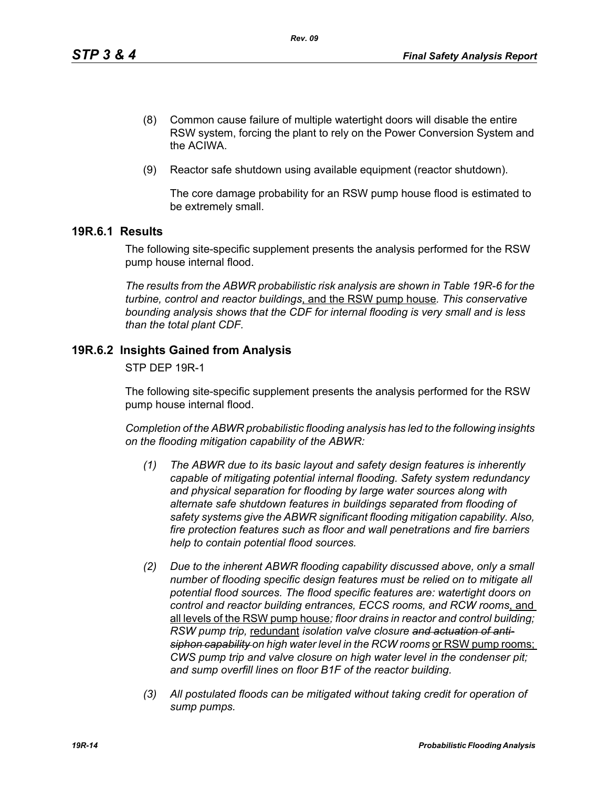- (8) Common cause failure of multiple watertight doors will disable the entire RSW system, forcing the plant to rely on the Power Conversion System and the ACIWA.
- (9) Reactor safe shutdown using available equipment (reactor shutdown).

The core damage probability for an RSW pump house flood is estimated to be extremely small.

## **19R.6.1 Results**

The following site-specific supplement presents the analysis performed for the RSW pump house internal flood.

*The results from the ABWR probabilistic risk analysis are shown in Table 19R-6 for the turbine, control and reactor buildings*, and the RSW pump house*. This conservative bounding analysis shows that the CDF for internal flooding is very small and is less than the total plant CDF.*

## **19R.6.2 Insights Gained from Analysis**

STP DEP 19R-1

The following site-specific supplement presents the analysis performed for the RSW pump house internal flood.

*Completion of the ABWR probabilistic flooding analysis has led to the following insights on the flooding mitigation capability of the ABWR:*

- *(1) The ABWR due to its basic layout and safety design features is inherently capable of mitigating potential internal flooding. Safety system redundancy and physical separation for flooding by large water sources along with alternate safe shutdown features in buildings separated from flooding of safety systems give the ABWR significant flooding mitigation capability. Also, fire protection features such as floor and wall penetrations and fire barriers help to contain potential flood sources.*
- *(2) Due to the inherent ABWR flooding capability discussed above, only a small number of flooding specific design features must be relied on to mitigate all potential flood sources. The flood specific features are: watertight doors on control and reactor building entrances, ECCS rooms, and RCW rooms*, and all levels of the RSW pump house*; floor drains in reactor and control building; RSW pump trip,* redundant *isolation valve closure and actuation of anti*siphon capability on high water level in the RCW rooms or RSW pump rooms; *CWS pump trip and valve closure on high water level in the condenser pit; and sump overfill lines on floor B1F of the reactor building.*
- *(3) All postulated floods can be mitigated without taking credit for operation of sump pumps.*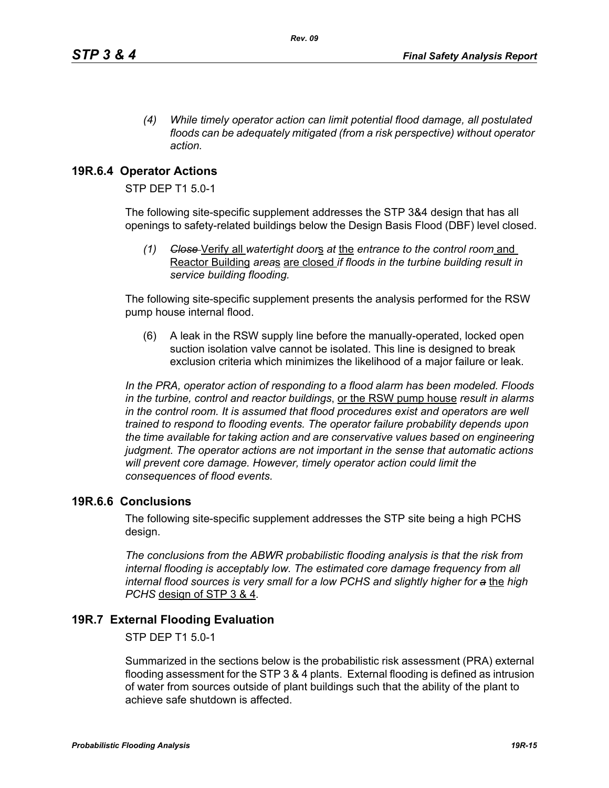*(4) While timely operator action can limit potential flood damage, all postulated floods can be adequately mitigated (from a risk perspective) without operator action.*

# **19R.6.4 Operator Actions**

STP DEP T1 5.0-1

The following site-specific supplement addresses the STP 3&4 design that has all openings to safety-related buildings below the Design Basis Flood (DBF) level closed.

*(1) Close* Verify all *watertight door*s *at* the *entrance to the control room* and Reactor Building *area*s are closed *if floods in the turbine building result in service building flooding.*

The following site-specific supplement presents the analysis performed for the RSW pump house internal flood.

(6) A leak in the RSW supply line before the manually-operated, locked open suction isolation valve cannot be isolated. This line is designed to break exclusion criteria which minimizes the likelihood of a major failure or leak.

*In the PRA, operator action of responding to a flood alarm has been modeled. Floods in the turbine, control and reactor buildings*, or the RSW pump house *result in alarms in the control room. It is assumed that flood procedures exist and operators are well trained to respond to flooding events. The operator failure probability depends upon the time available for taking action and are conservative values based on engineering judgment. The operator actions are not important in the sense that automatic actions will prevent core damage. However, timely operator action could limit the consequences of flood events.* 

### **19R.6.6 Conclusions**

The following site-specific supplement addresses the STP site being a high PCHS design.

*The conclusions from the ABWR probabilistic flooding analysis is that the risk from internal flooding is acceptably low. The estimated core damage frequency from all internal flood sources is very small for a low PCHS and slightly higher for a* the *high PCHS* design of STP 3 & 4*.*

## **19R.7 External Flooding Evaluation**

STP DEP T1 5.0-1

Summarized in the sections below is the probabilistic risk assessment (PRA) external flooding assessment for the STP 3 & 4 plants. External flooding is defined as intrusion of water from sources outside of plant buildings such that the ability of the plant to achieve safe shutdown is affected.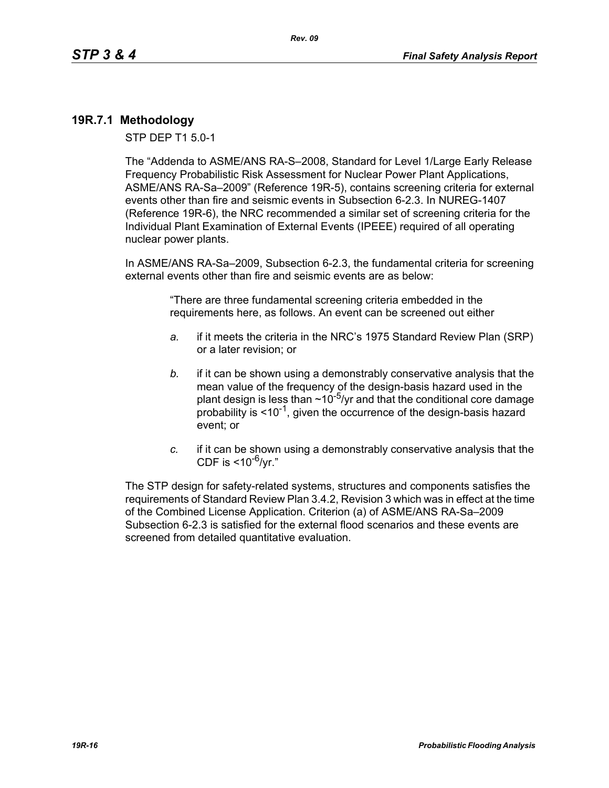## **19R.7.1 Methodology**

STP DEP T1 5.0-1

The "Addenda to ASME/ANS RA-S–2008, Standard for Level 1/Large Early Release Frequency Probabilistic Risk Assessment for Nuclear Power Plant Applications, ASME/ANS RA-Sa–2009" (Reference 19R-5), contains screening criteria for external events other than fire and seismic events in Subsection 6-2.3. In NUREG-1407 (Reference 19R-6), the NRC recommended a similar set of screening criteria for the Individual Plant Examination of External Events (IPEEE) required of all operating nuclear power plants.

In ASME/ANS RA-Sa–2009, Subsection 6-2.3, the fundamental criteria for screening external events other than fire and seismic events are as below:

> "There are three fundamental screening criteria embedded in the requirements here, as follows. An event can be screened out either

- *a.* if it meets the criteria in the NRC's 1975 Standard Review Plan (SRP) or a later revision; or
- *b.* if it can be shown using a demonstrably conservative analysis that the mean value of the frequency of the design-basis hazard used in the plant design is less than  $\sim 10^{-5}$ /yr and that the conditional core damage probability is  $\leq 10^{-1}$ , given the occurrence of the design-basis hazard event; or
- *c.* if it can be shown using a demonstrably conservative analysis that the CDF is  $<$ 10<sup>-6</sup>/vr."

The STP design for safety-related systems, structures and components satisfies the requirements of Standard Review Plan 3.4.2, Revision 3 which was in effect at the time of the Combined License Application. Criterion (a) of ASME/ANS RA-Sa–2009 Subsection 6-2.3 is satisfied for the external flood scenarios and these events are screened from detailed quantitative evaluation.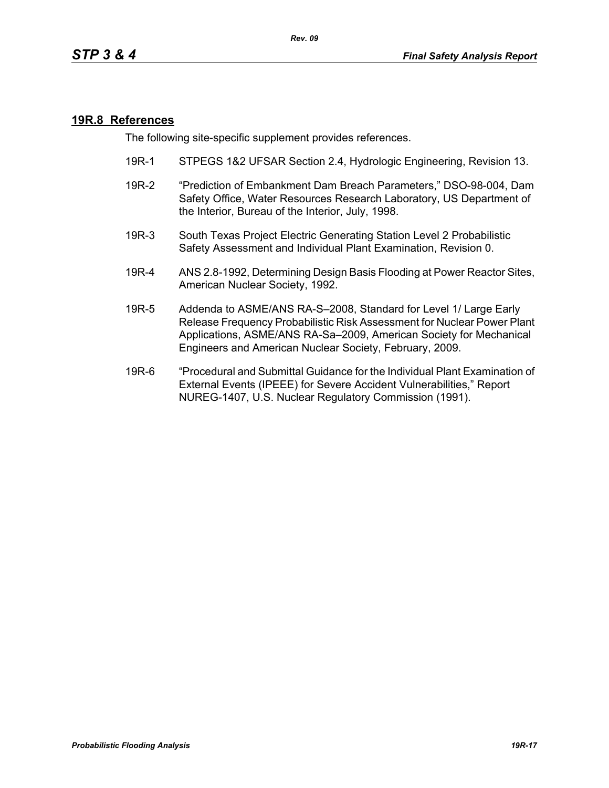### **19R.8 References**

The following site-specific supplement provides references.

- 19R-1 STPEGS 1&2 UFSAR Section 2.4, Hydrologic Engineering, Revision 13.
- 19R-2 "Prediction of Embankment Dam Breach Parameters," DSO-98-004, Dam Safety Office, Water Resources Research Laboratory, US Department of the Interior, Bureau of the Interior, July, 1998.
- 19R-3 South Texas Project Electric Generating Station Level 2 Probabilistic Safety Assessment and Individual Plant Examination, Revision 0.
- 19R-4 ANS 2.8-1992, Determining Design Basis Flooding at Power Reactor Sites, American Nuclear Society, 1992.
- 19R-5 Addenda to ASME/ANS RA-S–2008, Standard for Level 1/ Large Early Release Frequency Probabilistic Risk Assessment for Nuclear Power Plant Applications, ASME/ANS RA-Sa–2009, American Society for Mechanical Engineers and American Nuclear Society, February, 2009.
- 19R-6 "Procedural and Submittal Guidance for the Individual Plant Examination of External Events (IPEEE) for Severe Accident Vulnerabilities," Report NUREG-1407, U.S. Nuclear Regulatory Commission (1991).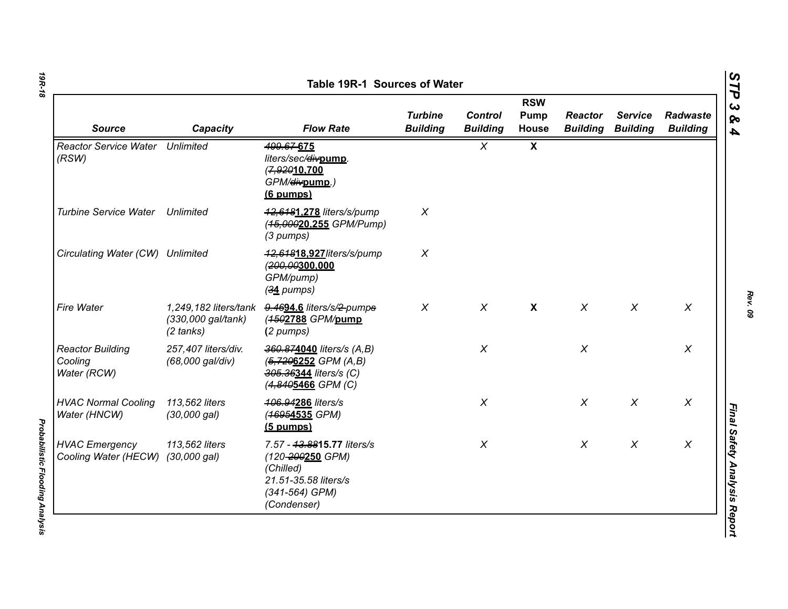| <b>Source</b>                                     | Capacity                                  | <b>Flow Rate</b>                                                                                                     | <b>Turbine</b><br><b>Building</b> | <b>Control</b><br><b>Building</b> | <b>RSW</b><br>Pump<br><b>House</b> | <b>Reactor</b><br><b>Building</b> | <b>Service</b><br><b>Building</b> | Radwaste<br><b>Building</b> |
|---------------------------------------------------|-------------------------------------------|----------------------------------------------------------------------------------------------------------------------|-----------------------------------|-----------------------------------|------------------------------------|-----------------------------------|-----------------------------------|-----------------------------|
| <b>Reactor Service Water Unlimited</b><br>(RSW)   |                                           | 499.67-675<br>liters/sec/divpump.<br>(7,92010,700<br>GPM/ <del>div</del> pump.)<br>(6 pumps)                         |                                   | $\chi$                            | $\boldsymbol{\mathsf{X}}$          |                                   |                                   |                             |
| <b>Turbine Service Water</b>                      | Unlimited                                 | 42,6481,278 liters/s/pump<br>(45,00020.255 GPM/Pump)<br>(3 pumps)                                                    | $\chi$                            |                                   |                                    |                                   |                                   |                             |
| Circulating Water (CW) Unlimited                  |                                           | 42,64818.927/iters/s/pump<br>(200,00300.000<br>GPM/pump)<br>$(34$ pumps)                                             | $\boldsymbol{X}$                  |                                   |                                    |                                   |                                   |                             |
| Fire Water                                        | (330,000 gal/tank)<br>$(2 \text{ tanks})$ | 1,249,182 liters/tank 9.4694.6 liters/s/2-pumps<br>(4502788 GPM/pump<br>(2 pumps)                                    | $\chi$                            | $\chi$                            | $\boldsymbol{\mathsf{X}}$          | $\chi$                            | $\chi$                            | $\chi$                      |
| <b>Reactor Building</b><br>Cooling<br>Water (RCW) | 257,407 liters/div.<br>(68,000 gal/div)   | 360.874040 liters/s (A,B)<br>$(5, 7206252 \text{ GPM } (A, B))$<br>305.36344 liters/s (C)<br>(4,8405466 GPM (C)      |                                   | $\chi$                            |                                    | $\chi$                            |                                   | $\chi$                      |
| <b>HVAC Normal Cooling</b><br>Water (HNCW)        | 113,562 liters<br>$(30,000 \text{ gal})$  | 406.94286 liters/s<br>(46954535 GPM)<br>$(5$ pumps)                                                                  |                                   | $\chi$                            |                                    | $\pmb{\chi}$                      | $\chi$                            | X                           |
| <b>HVAC Emergency</b><br>Cooling Water (HECW)     | 113,562 liters<br>$(30,000 \text{ gal})$  | 7.57 - 43.8815.77 liters/s<br>(120-200250 GPM)<br>(Chilled)<br>21.51-35.58 liters/s<br>(341-564) GPM)<br>(Condenser) |                                   | X                                 |                                    | $\pmb{\chi}$                      | $\pmb{\chi}$                      | $\pmb{\chi}$                |

*Probabilistic Flooding Analysis* 

**Probabilistic Flooding Analysis**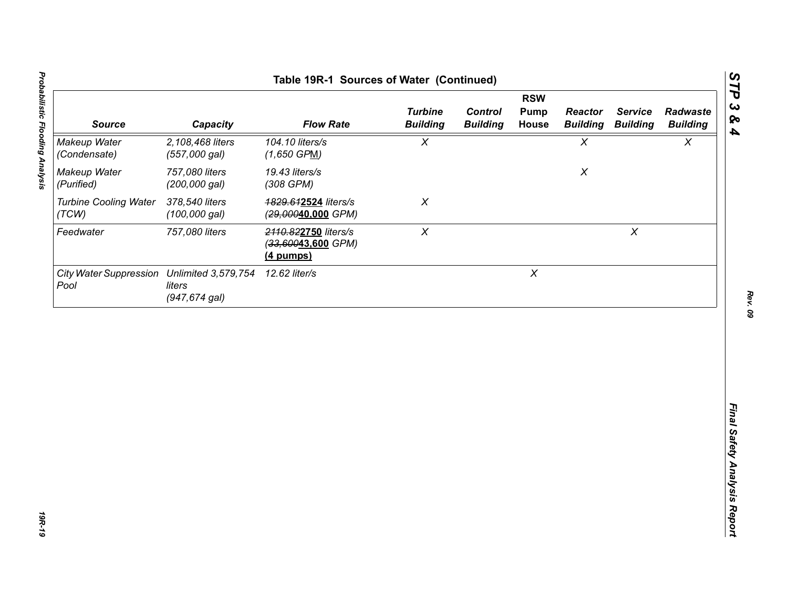| 104.10 liters/s<br>$\chi$<br>$\chi$<br>$\chi$<br>2,108,468 liters<br>(557,000 gal)<br>$(1,650$ GPM)<br>757,080 liters<br>19.43 liters/s<br>$\pmb{\chi}$<br>(200,000 gal)<br>(308 GPM)<br>378,540 liters<br>$\chi$<br>4829.612524 liters/s<br>$(100,000$ gal)<br>(29,00040,000 GPM)<br>$\pmb{\chi}$<br>$\pmb{\times}$<br>757,080 liters<br>2110.822750 liters/s<br>(33,60043,600 GPM)<br>(4 pumps)<br>$\boldsymbol{X}$<br>12.62 liter/s<br>liters | <b>Source</b>                | Capacity         | <b>Flow Rate</b> | <b>Turbine</b><br><b>Building</b> | <b>Control</b><br><b>Building</b> | <b>RSW</b><br><b>Pump</b><br>House | <b>Reactor</b><br><b>Building</b> | <b>Service</b><br><b>Building</b> | Radwaste<br><b>Building</b> |
|--------------------------------------------------------------------------------------------------------------------------------------------------------------------------------------------------------------------------------------------------------------------------------------------------------------------------------------------------------------------------------------------------------------------------------------------------|------------------------------|------------------|------------------|-----------------------------------|-----------------------------------|------------------------------------|-----------------------------------|-----------------------------------|-----------------------------|
| Makeup Water<br>(Purified)<br><b>Turbine Cooling Water</b><br>(TCW)<br>Feedwater<br>City Water Suppression Unlimited 3,579,754<br>Pool                                                                                                                                                                                                                                                                                                           | Makeup Water<br>(Condensate) |                  |                  |                                   |                                   |                                    |                                   |                                   |                             |
|                                                                                                                                                                                                                                                                                                                                                                                                                                                  |                              |                  |                  |                                   |                                   |                                    |                                   |                                   |                             |
|                                                                                                                                                                                                                                                                                                                                                                                                                                                  |                              |                  |                  |                                   |                                   |                                    |                                   |                                   |                             |
|                                                                                                                                                                                                                                                                                                                                                                                                                                                  |                              |                  |                  |                                   |                                   |                                    |                                   |                                   |                             |
|                                                                                                                                                                                                                                                                                                                                                                                                                                                  |                              | $(947, 674$ gal) |                  |                                   |                                   |                                    |                                   |                                   |                             |
|                                                                                                                                                                                                                                                                                                                                                                                                                                                  |                              |                  |                  |                                   |                                   |                                    |                                   |                                   |                             |
|                                                                                                                                                                                                                                                                                                                                                                                                                                                  |                              |                  |                  |                                   |                                   |                                    |                                   |                                   |                             |
|                                                                                                                                                                                                                                                                                                                                                                                                                                                  |                              |                  |                  |                                   |                                   |                                    |                                   |                                   |                             |
|                                                                                                                                                                                                                                                                                                                                                                                                                                                  |                              |                  |                  |                                   |                                   |                                    |                                   |                                   |                             |
|                                                                                                                                                                                                                                                                                                                                                                                                                                                  |                              |                  |                  |                                   |                                   |                                    |                                   |                                   |                             |
|                                                                                                                                                                                                                                                                                                                                                                                                                                                  |                              |                  |                  |                                   |                                   |                                    |                                   |                                   |                             |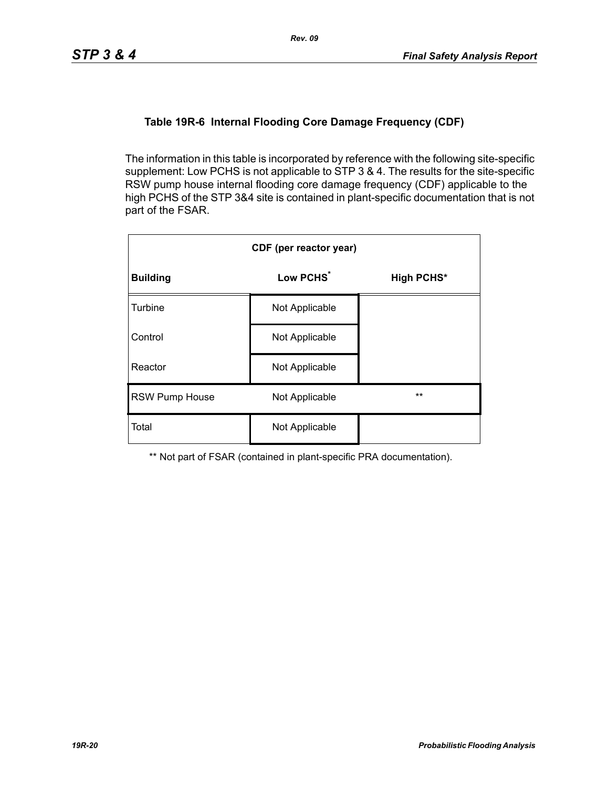## **Table 19R-6 Internal Flooding Core Damage Frequency (CDF)**

The information in this table is incorporated by reference with the following site-specific supplement: Low PCHS is not applicable to STP 3 & 4. The results for the site-specific RSW pump house internal flooding core damage frequency (CDF) applicable to the high PCHS of the STP 3&4 site is contained in plant-specific documentation that is not part of the FSAR.

| CDF (per reactor year) |                       |                   |  |  |  |  |
|------------------------|-----------------------|-------------------|--|--|--|--|
| <b>Building</b>        | Low PCHS <sup>*</sup> | <b>High PCHS*</b> |  |  |  |  |
| <b>Turbine</b>         | Not Applicable        |                   |  |  |  |  |
| Control                | Not Applicable        |                   |  |  |  |  |
| Reactor                | Not Applicable        |                   |  |  |  |  |
| <b>RSW Pump House</b>  | Not Applicable        | $**$              |  |  |  |  |
| Total                  | Not Applicable        |                   |  |  |  |  |

\*\* Not part of FSAR (contained in plant-specific PRA documentation).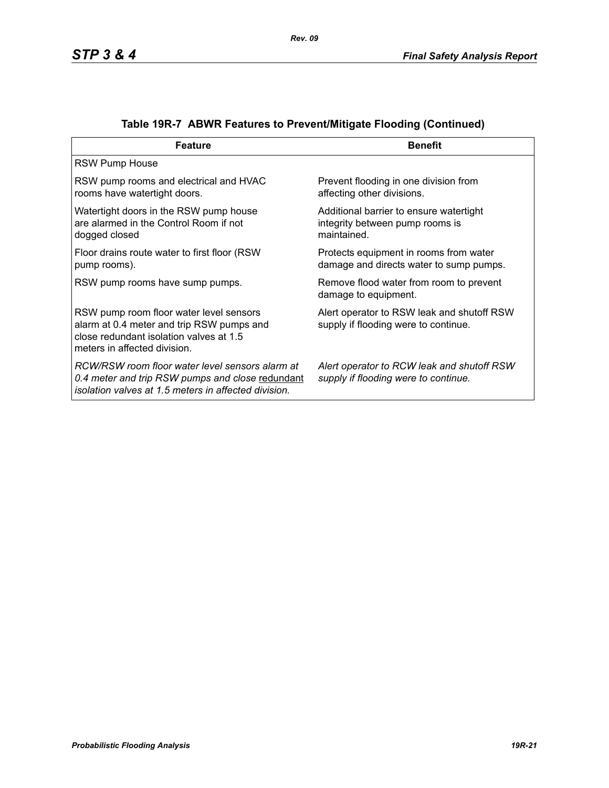| <b>Feature</b>                                                                                                                                                  | <b>Benefit</b>                                                                            |
|-----------------------------------------------------------------------------------------------------------------------------------------------------------------|-------------------------------------------------------------------------------------------|
| <b>RSW Pump House</b>                                                                                                                                           |                                                                                           |
| RSW pump rooms and electrical and HVAC<br>rooms have watertight doors.                                                                                          | Prevent flooding in one division from<br>affecting other divisions.                       |
| Watertight doors in the RSW pump house<br>are alarmed in the Control Room if not<br>dogged closed                                                               | Additional barrier to ensure watertight<br>integrity between pump rooms is<br>maintained. |
| Floor drains route water to first floor (RSW)<br>pump rooms).                                                                                                   | Protects equipment in rooms from water<br>damage and directs water to sump pumps.         |
| RSW pump rooms have sump pumps.                                                                                                                                 | Remove flood water from room to prevent<br>damage to equipment.                           |
| RSW pump room floor water level sensors<br>alarm at 0.4 meter and trip RSW pumps and<br>close redundant isolation valves at 1.5<br>meters in affected division. | Alert operator to RSW leak and shutoff RSW<br>supply if flooding were to continue.        |
| RCW/RSW room floor water level sensors alarm at<br>0.4 meter and trip RSW pumps and close redundant<br>isolation valves at 1.5 meters in affected division.     | Alert operator to RCW leak and shutoff RSW<br>supply if flooding were to continue.        |

# **Table 19R-7 ABWR Features to Prevent/Mitigate Flooding (Continued)**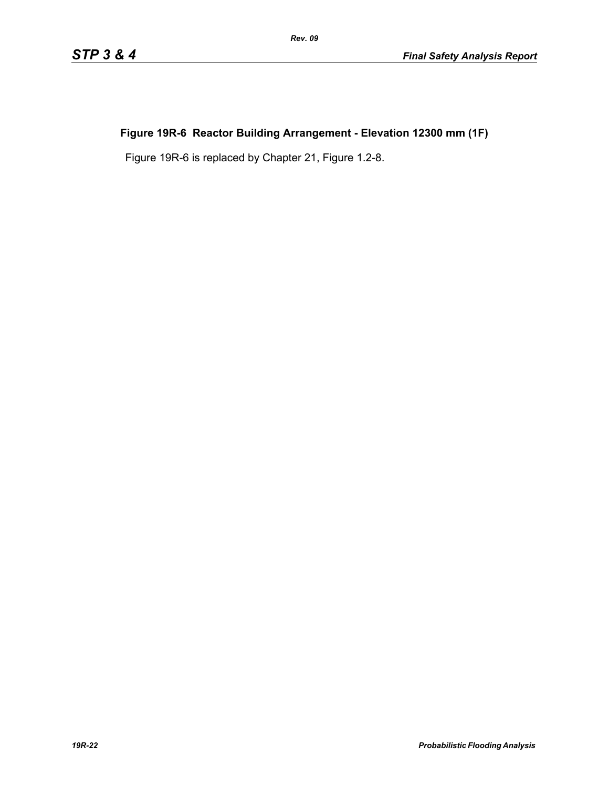# **Figure 19R-6 Reactor Building Arrangement - Elevation 12300 mm (1F)**

Figure 19R-6 is replaced by Chapter 21, Figure 1.2-8.